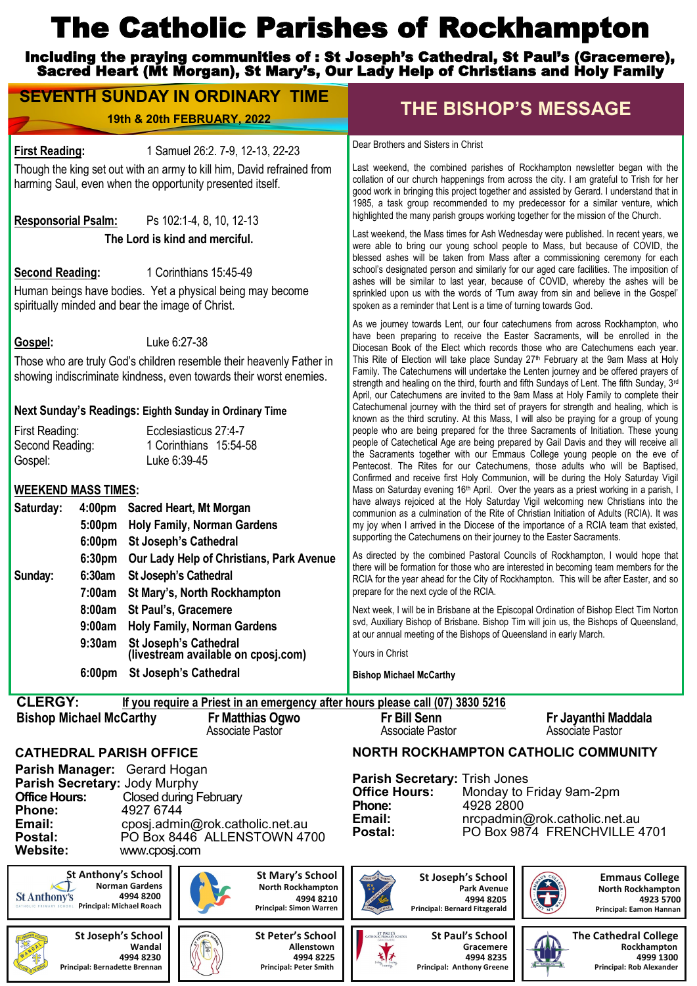# The Catholic Parishes of Rockhampton

Including the praying communities of : St Joseph's Cathedral, St Paul's (Gracemere), Sacred Heart (Mt Morgan), St Mary's, Our Lady Help of Christians and Holy Family

**SEVENTH SUNDAY IN ORDINARY TIME THE BISHOP'S MESSAGE**

|                                                                                                                                                                                               |                                                                                                              | 19th & 20th FEBRUARY, 2022                                                                      | <b>THE BISHOP'S MESSAGE</b>                                                                                                                                                                                                                                                                                                                                                                                                                |                                                                                           |  |
|-----------------------------------------------------------------------------------------------------------------------------------------------------------------------------------------------|--------------------------------------------------------------------------------------------------------------|-------------------------------------------------------------------------------------------------|--------------------------------------------------------------------------------------------------------------------------------------------------------------------------------------------------------------------------------------------------------------------------------------------------------------------------------------------------------------------------------------------------------------------------------------------|-------------------------------------------------------------------------------------------|--|
| 1 Samuel 26:2. 7-9, 12-13, 22-23<br><b>First Reading:</b>                                                                                                                                     |                                                                                                              |                                                                                                 | Dear Brothers and Sisters in Christ                                                                                                                                                                                                                                                                                                                                                                                                        |                                                                                           |  |
| Though the king set out with an army to kill him, David refrained from<br>harming Saul, even when the opportunity presented itself.<br>Ps 102:1-4, 8, 10, 12-13<br><b>Responsorial Psalm:</b> |                                                                                                              |                                                                                                 | Last weekend, the combined parishes of Rockhampton newsletter began with the<br>collation of our church happenings from across the city. I am grateful to Trish for her<br>good work in bringing this project together and assisted by Gerard. I understand that in<br>1985, a task group recommended to my predecessor for a similar venture, which<br>highlighted the many parish groups working together for the mission of the Church. |                                                                                           |  |
|                                                                                                                                                                                               |                                                                                                              | The Lord is kind and merciful.                                                                  | Last weekend, the Mass times for Ash Wednesday were published. In recent years, we<br>were able to bring our young school people to Mass, but because of COVID, the<br>blessed ashes will be taken from Mass after a commissioning ceremony for each                                                                                                                                                                                       |                                                                                           |  |
| <b>Second Reading:</b>                                                                                                                                                                        |                                                                                                              | 1 Corinthians 15:45-49                                                                          | school's designated person and similarly for our aged care facilities. The imposition of<br>ashes will be similar to last year, because of COVID, whereby the ashes will be                                                                                                                                                                                                                                                                |                                                                                           |  |
| Human beings have bodies. Yet a physical being may become<br>spiritually minded and bear the image of Christ.                                                                                 |                                                                                                              |                                                                                                 | sprinkled upon us with the words of 'Turn away from sin and believe in the Gospel'<br>spoken as a reminder that Lent is a time of turning towards God.                                                                                                                                                                                                                                                                                     |                                                                                           |  |
| Luke 6:27-38<br>Gospel:<br>Those who are truly God's children resemble their heavenly Father in<br>showing indiscriminate kindness, even towards their worst enemies.                         |                                                                                                              |                                                                                                 | As we journey towards Lent, our four catechumens from across Rockhampton, who<br>have been preparing to receive the Easter Sacraments, will be enrolled in the<br>Diocesan Book of the Elect which records those who are Catechumens each year.<br>This Rite of Election will take place Sunday 27 <sup>th</sup> February at the 9am Mass at Holy<br>Family. The Catechumens will undertake the Lenten journey and be offered prayers of   |                                                                                           |  |
|                                                                                                                                                                                               |                                                                                                              |                                                                                                 | strength and healing on the third, fourth and fifth Sundays of Lent. The fifth Sunday, 3rd<br>April, our Catechumens are invited to the 9am Mass at Holy Family to complete their<br>Catechumenal journey with the third set of prayers for strength and healing, which is                                                                                                                                                                 |                                                                                           |  |
| Next Sunday's Readings: Eighth Sunday in Ordinary Time<br>First Reading:<br>Ecclesiasticus 27:4-7<br>Second Reading:<br>1 Corinthians 15:54-58                                                |                                                                                                              |                                                                                                 | known as the third scrutiny. At this Mass, I will also be praying for a group of young<br>people who are being prepared for the three Sacraments of Initiation. These young<br>people of Catechetical Age are being prepared by Gail Davis and they will receive all<br>the Sacraments together with our Emmaus College young people on the eve of                                                                                         |                                                                                           |  |
| Gospel:                                                                                                                                                                                       | <b>WEEKEND MASS TIMES:</b>                                                                                   | Luke 6:39-45                                                                                    | Pentecost. The Rites for our Catechumens, those adults who will be Baptised,<br>Confirmed and receive first Holy Communion, will be during the Holy Saturday Vigil<br>Mass on Saturday evening 16th April. Over the years as a priest working in a parish, I<br>have always rejoiced at the Holy Saturday Vigil welcoming new Christians into the                                                                                          |                                                                                           |  |
| Saturday:                                                                                                                                                                                     | 4:00pm Sacred Heart, Mt Morgan                                                                               |                                                                                                 |                                                                                                                                                                                                                                                                                                                                                                                                                                            |                                                                                           |  |
|                                                                                                                                                                                               | 5:00pm<br>6:00 <sub>pm</sub>                                                                                 | <b>Holy Family, Norman Gardens</b><br><b>St Joseph's Cathedral</b>                              | communion as a culmination of the Rite of Christian Initiation of Adults (RCIA). It was<br>my joy when I arrived in the Diocese of the importance of a RCIA team that existed,<br>supporting the Catechumens on their journey to the Easter Sacraments.                                                                                                                                                                                    |                                                                                           |  |
| Sunday:                                                                                                                                                                                       | 6:30 <sub>pm</sub><br>6:30am St Joseph's Cathedral                                                           | Our Lady Help of Christians, Park Avenue                                                        | As directed by the combined Pastoral Councils of Rockhampton, I would hope that<br>there will be formation for those who are interested in becoming team members for the<br>RCIA for the year ahead for the City of Rockhampton. This will be after Easter, and so                                                                                                                                                                         |                                                                                           |  |
|                                                                                                                                                                                               | 7:00am<br>8:00am St Paul's, Gracemere                                                                        | St Mary's, North Rockhampton<br>9:00am Holy Family, Norman Gardens                              | prepare for the next cycle of the RCIA.<br>Next week, I will be in Brisbane at the Episcopal Ordination of Bishop Elect Tim Norton<br>svd. Auxiliary Bishop of Brisbane. Bishop Tim will join us, the Bishops of Queensland.<br>at our annual meeting of the Bishops of Queensland in early March.                                                                                                                                         |                                                                                           |  |
|                                                                                                                                                                                               | 9:30am                                                                                                       | St Joseph's Cathedral<br>(livestream available on cposj.com)                                    | Yours in Christ                                                                                                                                                                                                                                                                                                                                                                                                                            |                                                                                           |  |
|                                                                                                                                                                                               | 6:00 <sub>pm</sub>                                                                                           | <b>St Joseph's Cathedral</b>                                                                    | <b>Bishop Michael McCarthy</b>                                                                                                                                                                                                                                                                                                                                                                                                             |                                                                                           |  |
| <b>CLERGY:</b>                                                                                                                                                                                |                                                                                                              | If you require a Priest in an emergency after hours please call (07) 3830 5216                  |                                                                                                                                                                                                                                                                                                                                                                                                                                            |                                                                                           |  |
|                                                                                                                                                                                               | <b>Bishop Michael McCarthy</b>                                                                               | Fr Matthias Ogwo<br>Associate Pastor                                                            | <b>Fr Bill Senn</b><br><b>Associate Pastor</b>                                                                                                                                                                                                                                                                                                                                                                                             | Fr Jayanthi Maddala<br>Associate Pastor                                                   |  |
|                                                                                                                                                                                               | <b>CATHEDRAL PARISH OFFICE</b>                                                                               |                                                                                                 | NORTH ROCKHAMPTON CATHOLIC COMMUNITY                                                                                                                                                                                                                                                                                                                                                                                                       |                                                                                           |  |
| <b>Office Hours:</b><br>Phone:<br>Email:<br>Postal:<br><b>Website:</b>                                                                                                                        | Parish Manager: Gerard Hogan<br>Parish Secretary: Jody Murphy<br>4927 6744<br>www.cposj.com                  | <b>Closed during February</b><br>cposj.admin@rok.catholic.net.au<br>PO Box 8446 ALLENSTOWN 4700 | <b>Parish Secretary: Trish Jones</b><br><b>Office Hours:</b><br>Phone:<br>4928 2800<br>Email:<br>Postal:                                                                                                                                                                                                                                                                                                                                   | Monday to Friday 9am-2pm<br>nrcpadmin@rok.catholic.net.au<br>PO Box 9874 FRENCHVILLE 4701 |  |
| <b>St Anthony's</b>                                                                                                                                                                           | St Anthony's School<br><b>Norman Gardens</b><br>4994 8200<br>ATHOLIC PRIMARY SCHOOL Principal: Michael Roach | <b>St Mary's School</b><br>North Rockhampton<br>4994 8210<br>Principal: Simon Warren            | <b>St Joseph's School</b><br><b>Park Avenue</b><br>4994 8205<br>Principal: Bernard Fitzgerald                                                                                                                                                                                                                                                                                                                                              | <b>Emmaus College</b><br><b>North Rockhampton</b><br>4923 5700<br>Principal: Eamon Hannan |  |
|                                                                                                                                                                                               | St Joseph's School<br>Wandal<br>4994 8230<br>Principal: Bernadette Brennan                                   | St Peter's School<br>Allenstown<br>4994 8225<br>Principal: Peter Smith                          | ST PAUL'S<br>LIC PRIMARY SCHOOL<br><b>St Paul's School</b><br>Gracemere<br>4994 8235<br>Principal: Anthony Greene                                                                                                                                                                                                                                                                                                                          | <b>The Cathedral College</b><br>Rockhampton<br>4999 1300<br>Principal: Rob Alexander      |  |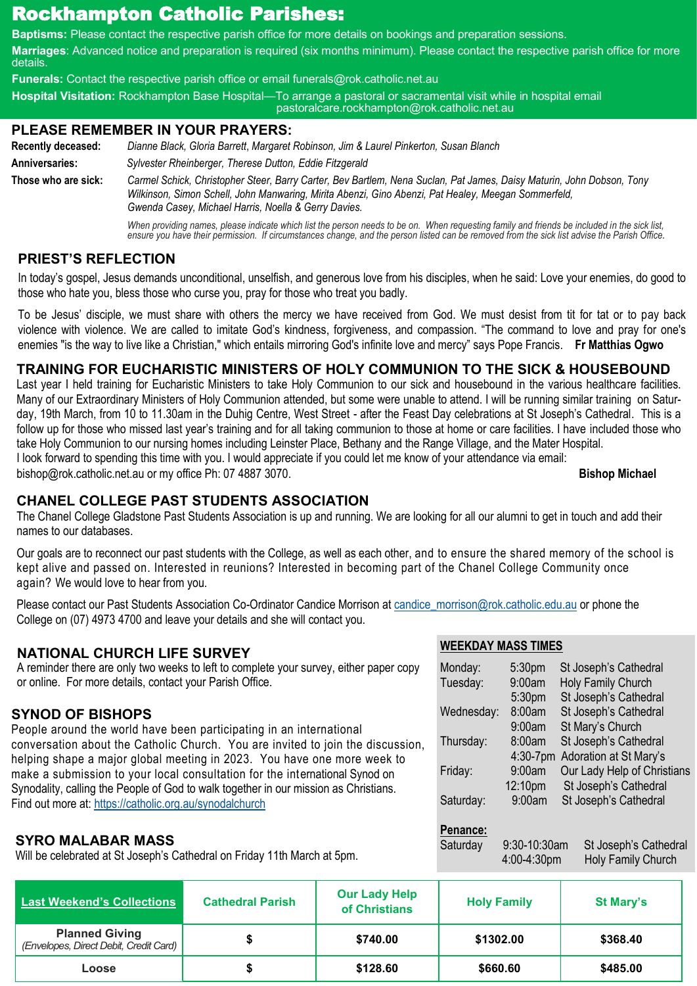## Rockhampton Catholic Parishes:

**Baptisms:** Please contact the respective parish office for more details on bookings and preparation sessions.

**Marriages**: Advanced notice and preparation is required (six months minimum). Please contact the respective parish office for more details.

**Funerals:** Contact the respective parish office or email funerals@rok.catholic.net.au

**Hospital Visitation:** Rockhampton Base Hospital—To arrange a pastoral or sacramental visit while in hospital email pastoralcare.rockhampton@rok.catholic.net.au

#### **PLEASE REMEMBER IN YOUR PRAYERS:**

**Recently deceased:** *Dianne Black, Gloria Barrett*, *Margaret Robinson, Jim & Laurel Pinkerton, Susan Blanch*  **Anniversaries:** *Sylvester Rheinberger, Therese Dutton, Eddie Fitzgerald* **Those who are sick:** *Carmel Schick, Christopher Steer, Barry Carter, Bev Bartlem, Nena Suclan, Pat James, Daisy Maturin, John Dobson, Tony Wilkinson, Simon Schell, John Manwaring, Mirita Abenzi, Gino Abenzi, Pat Healey, Meegan Sommerfeld,* 

*Gwenda Casey, Michael Harris, Noella & Gerry Davies. When providing names, please indicate which list the person needs to be on. When requesting family and friends be included in the sick list, ensure you have their permission. If circumstances change, and the person listed can be removed from the sick list advise the Parish Office.*

#### **PRIEST'S REFLECTION**

In today's gospel, Jesus demands unconditional, unselfish, and generous love from his disciples, when he said: Love your enemies, do good to those who hate you, bless those who curse you, pray for those who treat you badly.

To be Jesus' disciple, we must share with others the mercy we have received from God. We must desist from tit for tat or to pay back violence with violence. We are called to imitate God's kindness, forgiveness, and compassion. "The command to love and pray for one's enemies "is the way to live like a Christian," which entails mirroring God's infinite love and mercy" says Pope Francis. **Fr Matthias Ogwo**

#### **TRAINING FOR EUCHARISTIC MINISTERS OF HOLY COMMUNION TO THE SICK & HOUSEBOUND**

Last year I held training for Eucharistic Ministers to take Holy Communion to our sick and housebound in the various healthcare facilities. Many of our Extraordinary Ministers of Holy Communion attended, but some were unable to attend. I will be running similar training on Saturday, 19th March, from 10 to 11.30am in the Duhig Centre, West Street - after the Feast Day celebrations at St Joseph's Cathedral. This is a follow up for those who missed last year's training and for all taking communion to those at home or care facilities. I have included those who take Holy Communion to our nursing homes including Leinster Place, Bethany and the Range Village, and the Mater Hospital. I look forward to spending this time with you. I would appreciate if you could let me know of your attendance via email:

bishop@rok.catholic.net.au or my office Ph: 07 4887 3070. **Bishop Michael**

Saturday 9:30-10:30am St Joseph's Cathedral

4:00-4:30pm Holy Family Church

#### **CHANEL COLLEGE PAST STUDENTS ASSOCIATION**

The Chanel College Gladstone Past Students Association is up and running. We are looking for all our alumni to get in touch and add their names to our databases.

Our goals are to reconnect our past students with the College, as well as each other, and to ensure the shared memory of the school is kept alive and passed on. Interested in reunions? Interested in becoming part of the Chanel College Community once again? We would love to hear from you.

Please contact our Past Students Association Co-Ordinator Candice Morrison at [candice\\_morrison@rok.catholic.edu.au](mailto:candice_morrison@rok.catholic.edu.au) or phone the College on (07) 4973 4700 and leave your details and she will contact you.

#### **WEEKDAY MASS TIMES** Monday: 5:30pm St Joseph's Cathedral Tuesday: 9:00am Holy Family Church 5:30pm St Joseph's Cathedral Wednesday: 8:00am St Joseph's Cathedral 9:00am St Mary's Church Thursday: 8:00am St Joseph's Cathedral 4:30-7pm Adoration at St Mary's Friday: 9:00am Our Lady Help of Christians 12:10pm St Joseph's Cathedral Saturday: 9:00am St Joseph's Cathedral **Penance: SYNOD OF BISHOPS** People around the world have been participating in an international conversation about the Catholic Church. You are invited to join the discussion, helping shape a major global meeting in 2023. You have one more week to make a submission to your local consultation for the international Synod on Synodality, calling the People of God to walk together in our mission as Christians. Find out more at: <https://catholic.org.au/synodalchurch> **NATIONAL CHURCH LIFE SURVEY** A reminder there are only two weeks to left to complete your survey, either paper copy or online. For more details, contact your Parish Office. **SYRO MALABAR MASS**

Will be celebrated at St Joseph's Cathedral on Friday 11th March at 5pm.

| Last Weekend's Collections                                      | <b>Cathedral Parish</b> | <b>Our Lady Help</b><br>of Christians | <b>Holy Family</b> | <b>St Mary's</b> |
|-----------------------------------------------------------------|-------------------------|---------------------------------------|--------------------|------------------|
| <b>Planned Giving</b><br>(Envelopes, Direct Debit, Credit Card) |                         | \$740.00                              | \$1302.00          | \$368.40         |
| Loose                                                           |                         | \$128.60                              | \$660.60           | \$485.00         |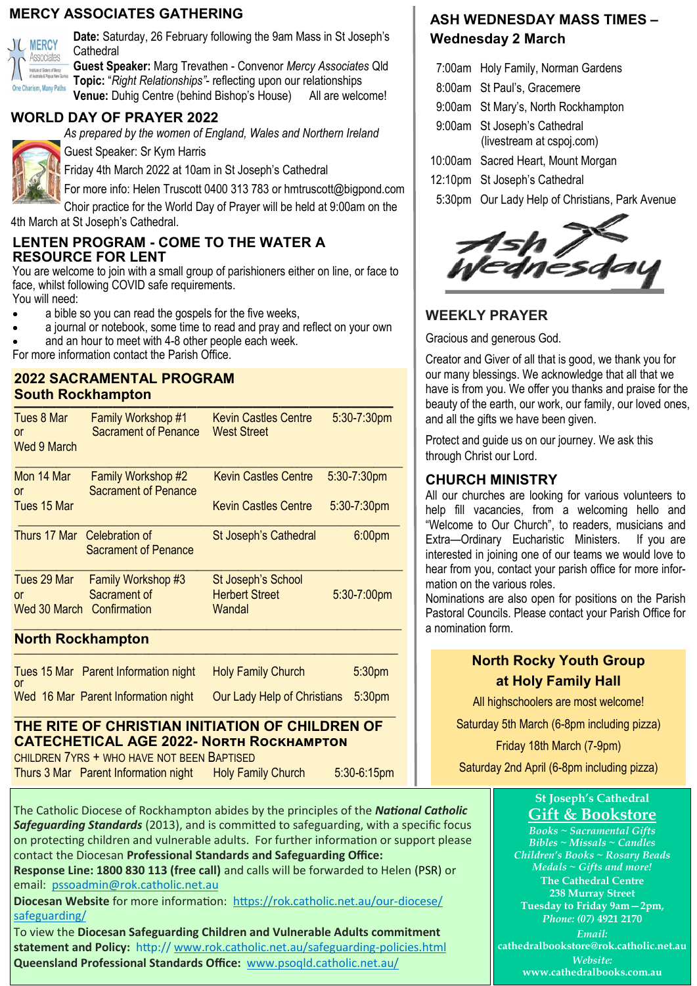#### **MERCY ASSOCIATES GATHERING**



**Date:** Saturday, 26 February following the 9am Mass in St Joseph's **Cathedral** 

**Guest Speaker:** Marg Trevathen - Convenor *Mercy Associates* Qld **Topic:** "*Right Relationships"*- reflecting upon our relationships **Venue:** Duhig Centre (behind Bishop's House) All are welcome!

#### **WORLD DAY OF PRAYER 2022**

*As prepared by the women of England, Wales and Northern Ireland*



Guest Speaker: Sr Kym Harris

Friday 4th March 2022 at 10am in St Joseph's Cathedral

For more info: Helen Truscott 0400 313 783 or hmtruscott@bigpond.com

Choir practice for the World Day of Prayer will be held at 9:00am on the 4th March at St Joseph's Cathedral.

#### **LENTEN PROGRAM - COME TO THE WATER A RESOURCE FOR LENT**

You are welcome to join with a small group of parishioners either on line, or face to face, whilst following COVID safe requirements.

You will need:

- a bible so you can read the gospels for the five weeks,
- a journal or notebook, some time to read and pray and reflect on your own

and an hour to meet with 4-8 other people each week.

For more information contact the Parish Office.

#### **2022 SACRAMENTAL PROGRAM South Rockhampton**

| Tues 8 Mar<br>or<br><b>Wed 9 March</b>         | Family Workshop #1<br><b>Sacrament of Penance</b>        | <b>Kevin Castles Centre</b><br><b>West Street</b>     | 5:30-7:30pm    |
|------------------------------------------------|----------------------------------------------------------|-------------------------------------------------------|----------------|
| Mon 14 Mar<br>or                               | <b>Family Workshop #2</b><br><b>Sacrament of Penance</b> | <b>Kevin Castles Centre</b>                           | 5:30-7:30pm    |
| Tues 15 Mar                                    |                                                          | <b>Kevin Castles Centre</b>                           | $5:30-7:30$ pm |
| Thurs 17 Mar Celebration of                    | <b>Sacrament of Penance</b>                              | St Joseph's Cathedral                                 | 6:00pm         |
| Tues 29 Mar<br>or<br>Wed 30 March Confirmation | Family Workshop #3<br>Sacrament of                       | St Joseph's School<br><b>Herbert Street</b><br>Wandal | $5:30-7:00$ pm |

#### **North Rockhampton \_\_\_\_\_\_\_\_\_\_\_\_\_\_\_\_\_\_\_\_\_\_\_\_\_\_\_\_\_\_\_\_\_\_\_\_\_\_\_\_\_\_\_\_\_\_\_\_\_\_\_\_\_\_\_\_\_\_\_\_**

| 0ľ | Tues 15 Mar Parent Information night | <b>Holy Family Church</b>          | 5:30 <sub>pm</sub> |
|----|--------------------------------------|------------------------------------|--------------------|
|    | Wed 16 Mar Parent Information night  | Our Lady Help of Christians 5:30pm |                    |

#### \_\_\_\_\_\_\_\_\_\_\_\_\_\_\_\_\_\_\_\_\_\_\_\_\_\_\_\_\_\_\_\_\_\_\_\_\_\_\_\_\_\_\_\_\_\_\_\_\_\_\_\_\_\_\_\_\_\_\_\_\_\_\_\_\_ **THE RITE OF CHRISTIAN INITIATION OF CHILDREN OF CATECHETICAL AGE 2022- North Rockhampton**

CHILDREN 7YRS + WHO HAVE NOT BEEN BAPTISED

Thurs 3 Mar Parent Information night Holy Family Church 5:30-6:15pm

The Catholic Diocese of Rockhampton abides by the principles of the *National Catholic Safeguarding Standards* (2013), and is committed to safeguarding, with a specific focus on protecting children and vulnerable adults. For further information or support please contact the Diocesan **Professional Standards and Safeguarding Office:**

**Response Line: 1800 830 113 (free call)** and calls will be forwarded to Helen (PSR) or email: [pssoadmin@rok.catholic.net.au](mailto:pssoadmin@rok.catholic.net.au)

**Diocesan Website** for more information: [https://rok.catholic.net.au/our](https://rok.catholic.net.au/our-diocese/safeguarding/)-diocese/ [safeguarding/](https://rok.catholic.net.au/our-diocese/safeguarding/)

To view the **Diocesan Safeguarding Children and Vulnerable Adults commitment statement and Policy:** http:// [www.rok.catholic.net.au/safeguarding](http://www.rok.catholic.net.au/safeguarding-policies.html)-policies.html **Queensland Professional Standards Office:** [www.psoqld.catholic.net.au/](http://www.psoqld.catholic.net.au/)

### **ASH WEDNESDAY MASS TIMES – Wednesday 2 March**

- 7:00am Holy Family, Norman Gardens
- 8:00am St Paul's, Gracemere
- 9:00am St Mary's, North Rockhampton
- 9:00am St Joseph's Cathedral (livestream at cspoj.com)
- 10:00am Sacred Heart, Mount Morgan
- 12:10pm St Joseph's Cathedral
- 5:30pm Our Lady Help of Christians, Park Avenue



## **WEEKLY PRAYER**

Gracious and generous God.

Creator and Giver of all that is good, we thank you for our many blessings. We acknowledge that all that we have is from you. We offer you thanks and praise for the beauty of the earth, our work, our family, our loved ones, and all the gifts we have been given.

Protect and guide us on our journey. We ask this through Christ our Lord.

#### **CHURCH MINISTRY**

All our churches are looking for various volunteers to help fill vacancies, from a welcoming hello and "Welcome to Our Church", to readers, musicians and Extra—Ordinary Eucharistic Ministers. If you are interested in joining one of our teams we would love to hear from you, contact your parish office for more information on the various roles.

Nominations are also open for positions on the Parish Pastoral Councils. Please contact your Parish Office for a nomination form.

#### **North Rocky Youth Group at Holy Family Hall**

All highschoolers are most welcome!

Saturday 5th March (6-8pm including pizza)

Friday 18th March (7-9pm)

Saturday 2nd April (6-8pm including pizza)

#### **St Joseph's Cathedral Gift & Bookstore**

*Books ~ Sacramental Gifts Bibles ~ Missals ~ Candles Children's Books ~ Rosary Beads Medals ~ Gifts and more!* **The Cathedral Centre 238 Murray Street Tuesday to Friday 9am—2pm,** *Phone: (07)* **4921 2170** *Email:* **[cathedralbookstore@rok.catholic.net.au](mailto:cathedralbookstore@rok.catholic.net.au)** *Website:*

**www.cathedralbooks.com.au**